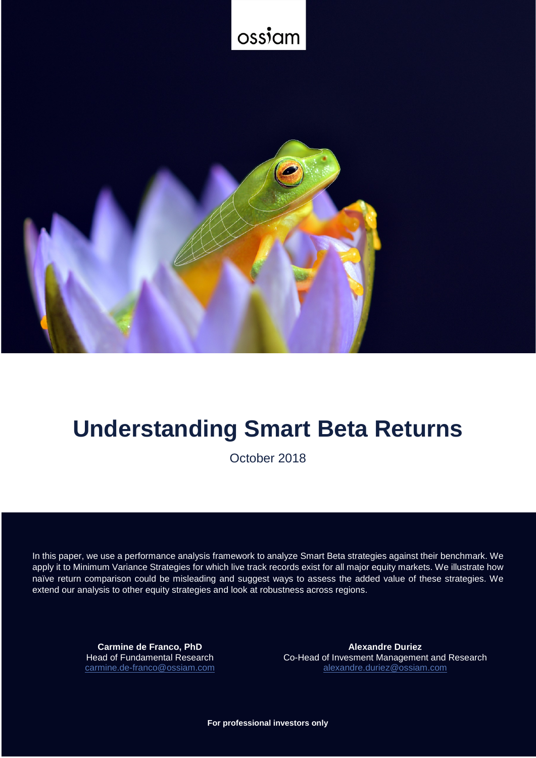

# **Understanding Smart Beta Returns**

October 2018

In this paper, we use a performance analysis framework to analyze Smart Beta strategies against their benchmark. We apply it to Minimum Variance Strategies for which live track records exist for all major equity markets. We illustrate how naïve return comparison could be misleading and suggest ways to assess the added value of these strategies. We extend our analysis to other equity strategies and look at robustness across regions.

> **Carmine de Franco, PhD** Head of Fundamental Research [carmine.de-franco@ossiam.com](mailto:carmine.de-franco@ossiam.com)

**Alexandre Duriez** Co-Head of Invesment Management and Research [alexandre.duriez@ossiam.com](mailto:alexandre.duriez@ossiam.com)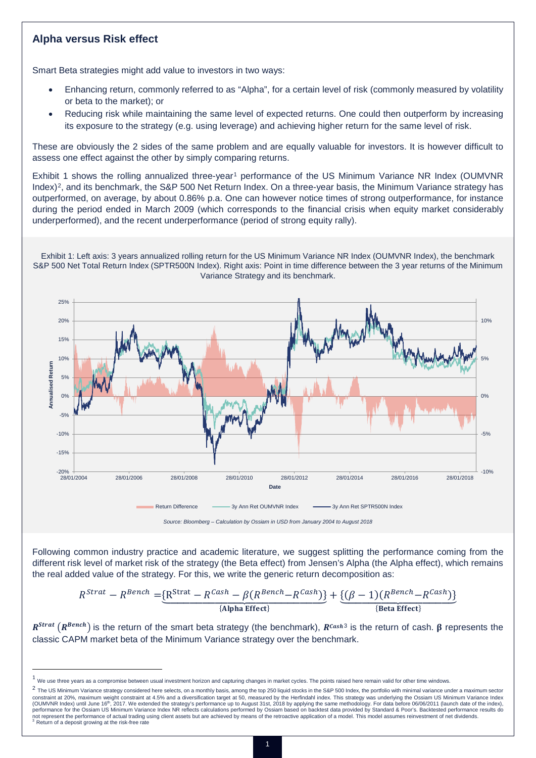## **Alpha versus Risk effect**

Smart Beta strategies might add value to investors in two ways:

- Enhancing return, commonly referred to as "Alpha", for a certain level of risk (commonly measured by volatility or beta to the market); or
- Reducing risk while maintaining the same level of expected returns. One could then outperform by increasing its exposure to the strategy (e.g. using leverage) and achieving higher return for the same level of risk.

These are obviously the 2 sides of the same problem and are equally valuable for investors. It is however difficult to assess one effect against the other by simply comparing returns.

Exhibit [1](#page-1-0) shows the rolling annualized three-year<sup>1</sup> performance of the US Minimum Variance NR Index (OUMVNR Index)<sup>2</sup>, and its benchmark, the S&P 500 Net Return Index. On a three-year basis, the Minimum Variance strategy has outperformed, on average, by about 0.86% p.a. One can however notice times of strong outperformance, for instance during the period ended in March 2009 (which corresponds to the financial crisis when equity market considerably underperformed), and the recent underperformance (period of strong equity rally).

Exhibit 1: Left axis: 3 years annualized rolling return for the US Minimum Variance NR Index (OUMVNR Index), the benchmark S&P 500 Net Total Return Index (SPTR500N Index). Right axis: Point in time difference between the 3 year returns of the Minimum Variance Strategy and its benchmark.



Following common industry practice and academic literature, we suggest splitting the performance coming from the different risk level of market risk of the strategy (the Beta effect) from Jensen's Alpha (the Alpha effect), which remains the real added value of the strategy. For this, we write the generic return decomposition as:

$$
R^{Strat} - R^{Bench} = \underbrace{\{R^{Strat} - R^{Cash} - \beta (R^{Bench} - R^{Cash})\}}_{\{Alpha\ Effect\}} + \underbrace{\{(\beta - 1)(R^{Bench} - R^{Cash})\}}_{\{Beta\ Effect\}}
$$

 $R^{Strat}(R^{Bench})$  is the return of the smart beta strategy (the benchmark),  $R^{Cash3}$  $R^{Cash3}$  $R^{Cash3}$  is the return of cash.  $\beta$  represents the classic CAPM market beta of the Minimum Variance strategy over the benchmark.

<span id="page-1-0"></span> $1$  We use three years as a compromise between usual investment horizon and capturing changes in market cycles. The points raised here remain valid for other time windows.

<span id="page-1-2"></span><span id="page-1-1"></span><sup>&</sup>lt;sup>2</sup> The US Minimum Variance strategy considered here selects, on a monthly basis, among the top 250 liquid stocks in the S&P 500 Index, the portfolio with minimal variance under a maximum sector constraint at 20%, maximum weight constraint at 4.5% and a diversification target at 50, measured by the Herfindahl index. This strategy was underlying the Ossiam US Minimum Variance Index (OUMVNR Index) until June 16<sup>th</sup>, 2017. We extended the strategy's performance up to August 31st, 2018 by applying the same methodology. For data before 06/06/2011 (launch date of the index),<br>performance for the Ossiam US not represent the performance of actual trading using client assets but are achieved by means of the retroactive application of a model. This model assumes reinvestment of net dividends.<br><sup>3</sup> Return of a deposit growing at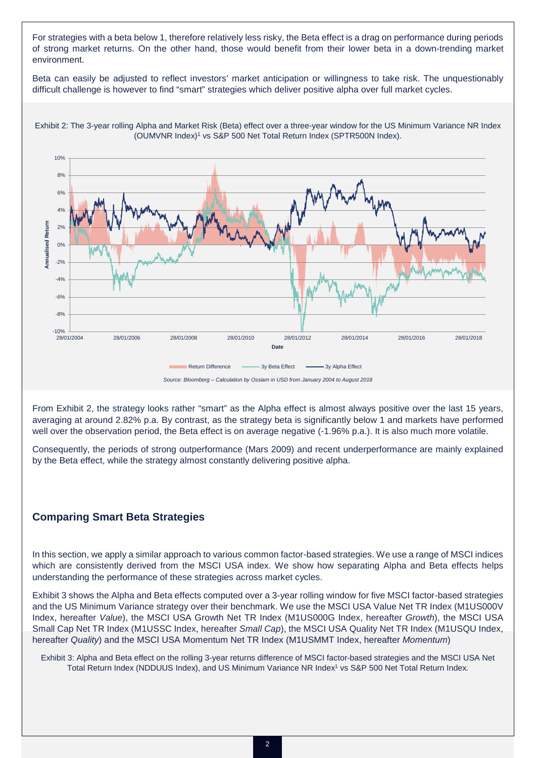For strategies with a beta below 1, therefore relatively less risky, the Beta effect is a drag on performance during periods of strong market returns. On the other hand, those would benefit from their lower beta in a down-trending market environment.

Beta can easily be adjusted to reflect investors' market anticipation or willingness to take risk. The unquestionably difficult challenge is however to find "smart" strategies which deliver positive alpha over full market cycles.



Exhibit 2: The 3-year rolling Alpha and Market Risk (Beta) effect over a three-year window for the US Minimum Variance NR Index (OUMVNR Index)1 vs S&P 500 Net Total Return Index (SPTR500N Index).

From Exhibit 2, the strategy looks rather "smart" as the Alpha effect is almost always positive over the last 15 years, averaging at around 2.82% p.a. By contrast, as the strategy beta is significantly below 1 and markets have performed well over the observation period, the Beta effect is on average negative (-1.96% p.a.). It is also much more volatile.

Consequently, the periods of strong outperformance (Mars 2009) and recent underperformance are mainly explained by the Beta effect, while the strategy almost constantly delivering positive alpha.

### **Comparing Smart Beta Strategies**

In this section, we apply a similar approach to various common factor-based strategies. We use a range of MSCI indices which are consistently derived from the MSCI USA index. We show how separating Alpha and Beta effects helps understanding the performance of these strategies across market cycles.

Exhibit 3 shows the Alpha and Beta effects computed over a 3-year rolling window for five MSCI factor-based strategies and the US Minimum Variance strategy over their benchmark. We use the MSCI USA Value Net TR Index (M1US000V Index, hereafter *Value*), the MSCI USA Growth Net TR Index (M1US000G Index, hereafter *Growth*), the MSCI USA Small Cap Net TR Index (M1USSC Index, hereafter *Small Cap*), the MSCI USA Quality Net TR Index (M1USQU Index, hereafter *Quality*) and the MSCI USA Momentum Net TR Index (M1USMMT Index, hereafter *Momentum*)

Exhibit 3: Alpha and Beta effect on the rolling 3-year returns difference of MSCI factor-based strategies and the MSCI USA Net Total Return Index (NDDUUS Index), and US Minimum Variance NR Index<sup>1</sup> vs S&P 500 Net Total Return Index.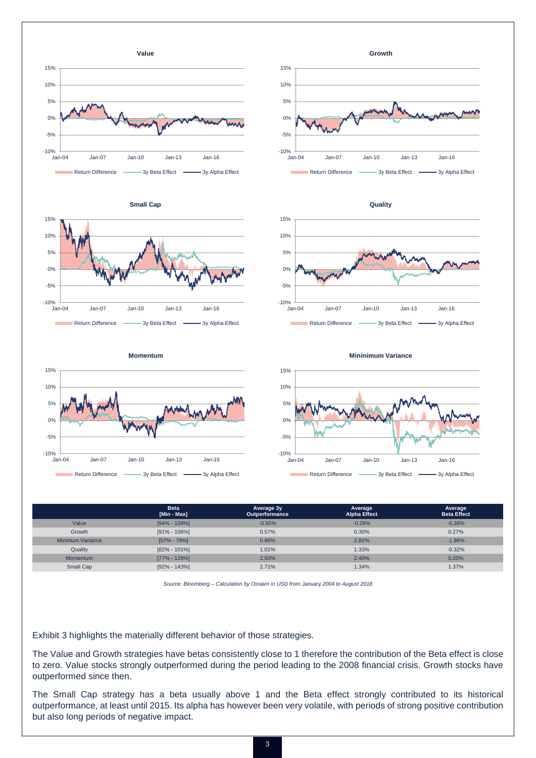









**Small Cap**







|                  | <b>Beta</b><br>[Min - Max] | Average 3y<br>Outperformance | Average<br><b>Alpha Effect</b> | Average<br><b>Beta Effect</b> |
|------------------|----------------------------|------------------------------|--------------------------------|-------------------------------|
| Value            | $[94\% - 109\%]$           | $-0.65%$                     | $-0.28%$                       | $-0.38%$                      |
| Growth           | $[91\% - 106\%]$           | 0.57%                        | 0.30%                          | 0.27%                         |
| Minimum Variance | $[57\% - 78\%]$            | 0.86%                        | 2.82%                          | $-1.96%$                      |
| Quality          | $[82\% - 101\%]$           | 1.01%                        | 1.33%                          | $-0.32%$                      |
| <b>Momentum</b>  | $[77\% - 126\%]$           | 2.60%                        | 2.40%                          | 0.20%                         |
| Small Cap        | $[92\% - 143\%]$           | 2.71%                        | 1.34%                          | 1.37%                         |

*Source: Bloomberg – Calculation by Ossiam in USD from January 2004 to August 2018*

Exhibit 3 highlights the materially different behavior of those strategies.

The Value and Growth strategies have betas consistently close to 1 therefore the contribution of the Beta effect is close to zero. Value stocks strongly outperformed during the period leading to the 2008 financial crisis. Growth stocks have outperformed since then.

The Small Cap strategy has a beta usually above 1 and the Beta effect strongly contributed to its historical outperformance, at least until 2015. Its alpha has however been very volatile, with periods of strong positive contribution but also long periods of negative impact.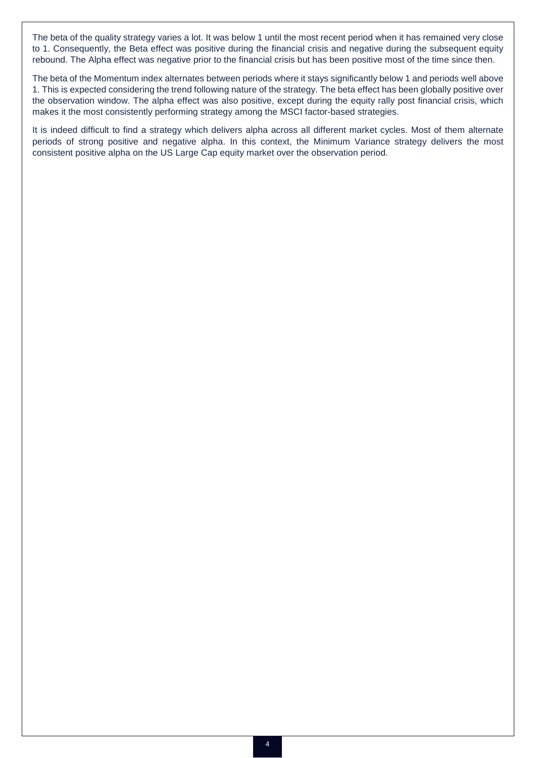The beta of the quality strategy varies a lot. It was below 1 until the most recent period when it has remained very close to 1. Consequently, the Beta effect was positive during the financial crisis and negative during the subsequent equity rebound. The Alpha effect was negative prior to the financial crisis but has been positive most of the time since then.

The beta of the Momentum index alternates between periods where it stays significantly below 1 and periods well above 1. This is expected considering the trend following nature of the strategy. The beta effect has been globally positive over the observation window. The alpha effect was also positive, except during the equity rally post financial crisis, which makes it the most consistently performing strategy among the MSCI factor-based strategies.

It is indeed difficult to find a strategy which delivers alpha across all different market cycles. Most of them alternate periods of strong positive and negative alpha. In this context, the Minimum Variance strategy delivers the most consistent positive alpha on the US Large Cap equity market over the observation period.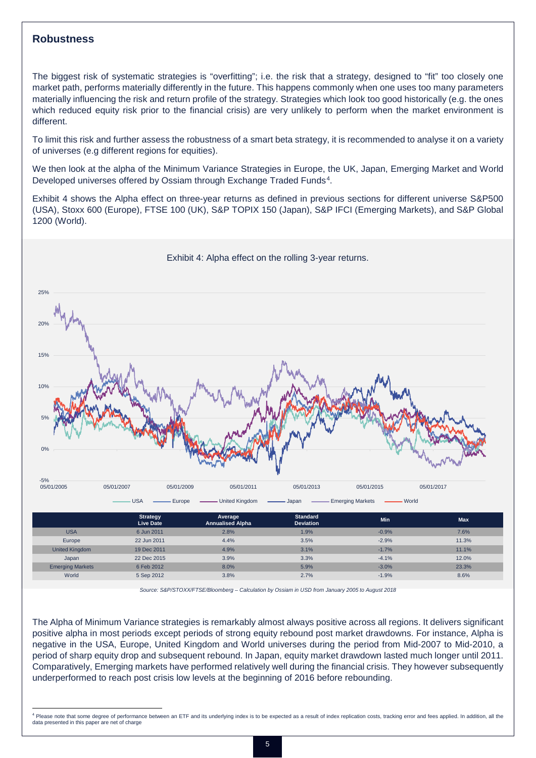#### **Robustness**

 $\overline{\phantom{a}}$ 

The biggest risk of systematic strategies is "overfitting"; i.e. the risk that a strategy, designed to "fit" too closely one market path, performs materially differently in the future. This happens commonly when one uses too many parameters materially influencing the risk and return profile of the strategy. Strategies which look too good historically (e.g. the ones which reduced equity risk prior to the financial crisis) are very unlikely to perform when the market environment is different.

To limit this risk and further assess the robustness of a smart beta strategy, it is recommended to analyse it on a variety of universes (e.g different regions for equities).

We then look at the alpha of the Minimum Variance Strategies in Europe, the UK, Japan, Emerging Market and World Developed universes offered by Ossiam through Exchange Traded Funds<sup>[4](#page-5-0)</sup>.

Exhibit 4 shows the Alpha effect on three-year returns as defined in previous sections for different universe S&P500 (USA), Stoxx 600 (Europe), FTSE 100 (UK), S&P TOPIX 150 (Japan), S&P IFCI (Emerging Markets), and S&P Global 1200 (World).



*Source: S&P/STOXX/FTSE/Bloomberg – Calculation by Ossiam in USD from January 2005 to August 2018*

The Alpha of Minimum Variance strategies is remarkably almost always positive across all regions. It delivers significant positive alpha in most periods except periods of strong equity rebound post market drawdowns. For instance, Alpha is negative in the USA, Europe, United Kingdom and World universes during the period from Mid-2007 to Mid-2010, a period of sharp equity drop and subsequent rebound. In Japan, equity market drawdown lasted much longer until 2011. Comparatively, Emerging markets have performed relatively well during the financial crisis. They however subsequently underperformed to reach post crisis low levels at the beginning of 2016 before rebounding.

<span id="page-5-0"></span><sup>&</sup>lt;sup>4</sup> Please note that some degree of performance between an ETF and its underlying index is to be expected as a result of index replication costs, tracking error and fees applied. In addition, all the data presented in this paper are net of charge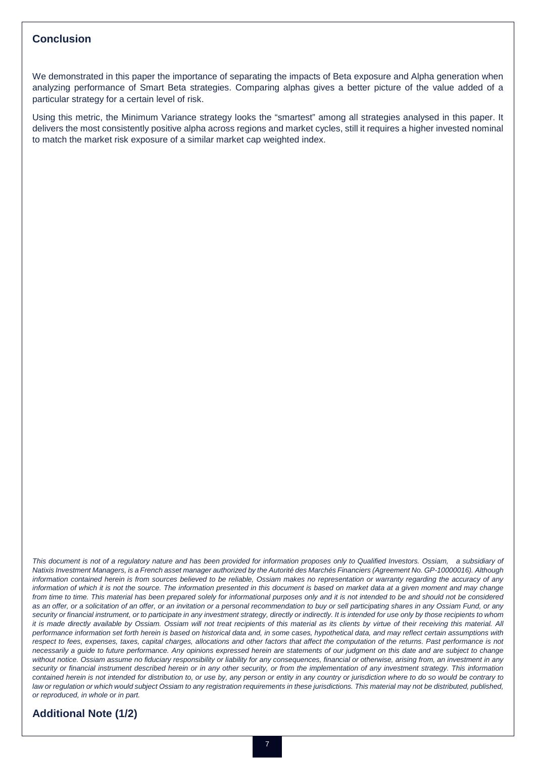#### **Conclusion**

We demonstrated in this paper the importance of separating the impacts of Beta exposure and Alpha generation when analyzing performance of Smart Beta strategies. Comparing alphas gives a better picture of the value added of a particular strategy for a certain level of risk.

Using this metric, the Minimum Variance strategy looks the "smartest" among all strategies analysed in this paper. It delivers the most consistently positive alpha across regions and market cycles, still it requires a higher invested nominal to match the market risk exposure of a similar market cap weighted index.

*This document is not of a regulatory nature and has been provided for information proposes only to Qualified Investors. Ossiam, a subsidiary of Natixis Investment Managers, is a French asset manager authorized by the Autorité des Marchés Financiers (Agreement No. GP-10000016). Although information contained herein is from sources believed to be reliable, Ossiam makes no representation or warranty regarding the accuracy of any*  information of which it is not the source. The information presented in this document is based on market data at a given moment and may change from time to time. This material has been prepared solely for informational purposes only and it is not intended to be and should not be considered *as an offer, or a solicitation of an offer, or an invitation or a personal recommendation to buy or sell participating shares in any Ossiam Fund, or any security or financial instrument, or to participate in any investment strategy, directly or indirectly. It is intended for use only by those recipients to whom it is made directly available by Ossiam. Ossiam will not treat recipients of this material as its clients by virtue of their receiving this material. All performance information set forth herein is based on historical data and, in some cases, hypothetical data, and may reflect certain assumptions with*  respect to fees, expenses, taxes, capital charges, allocations and other factors that affect the computation of the returns. Past performance is not *necessarily a guide to future performance. Any opinions expressed herein are statements of our judgment on this date and are subject to change without notice. Ossiam assume no fiduciary responsibility or liability for any consequences, financial or otherwise, arising from, an investment in any security or financial instrument described herein or in any other security, or from the implementation of any investment strategy. This information contained herein is not intended for distribution to, or use by, any person or entity in any country or jurisdiction where to do so would be contrary to law or regulation or which would subject Ossiam to any registration requirements in these jurisdictions. This material may not be distributed, published, or reproduced, in whole or in part.*

# **Additional Note (1/2)**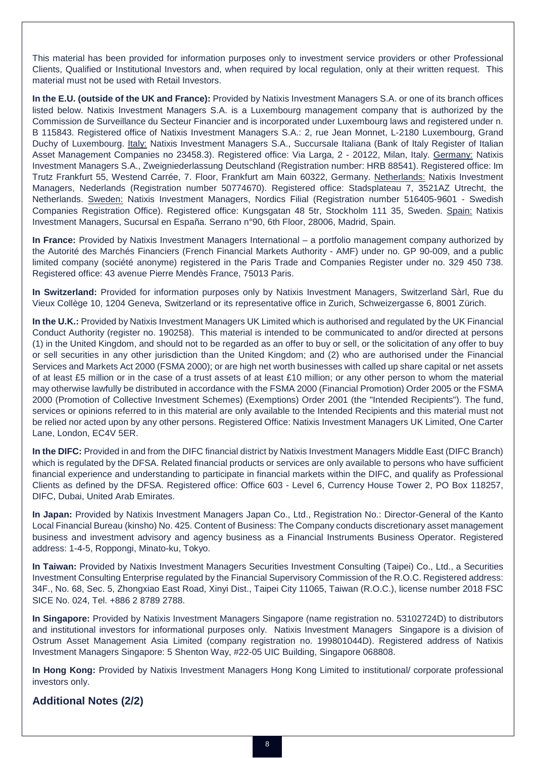This material has been provided for information purposes only to investment service providers or other Professional Clients, Qualified or Institutional Investors and, when required by local regulation, only at their written request. This material must not be used with Retail Investors.

**In the E.U. (outside of the UK and France):** Provided by Natixis Investment Managers S.A. or one of its branch offices listed below. Natixis Investment Managers S.A. is a Luxembourg management company that is authorized by the Commission de Surveillance du Secteur Financier and is incorporated under Luxembourg laws and registered under n. B 115843. Registered office of Natixis Investment Managers S.A.: 2, rue Jean Monnet, L-2180 Luxembourg, Grand Duchy of Luxembourg. Italy: Natixis Investment Managers S.A., Succursale Italiana (Bank of Italy Register of Italian Asset Management Companies no 23458.3). Registered office: Via Larga, 2 - 20122, Milan, Italy. Germany: Natixis Investment Managers S.A., Zweigniederlassung Deutschland (Registration number: HRB 88541). Registered office: Im Trutz Frankfurt 55, Westend Carrée, 7. Floor, Frankfurt am Main 60322, Germany. Netherlands: Natixis Investment Managers, Nederlands (Registration number 50774670). Registered office: Stadsplateau 7, 3521AZ Utrecht, the Netherlands. Sweden: Natixis Investment Managers, Nordics Filial (Registration number 516405-9601 - Swedish Companies Registration Office). Registered office: Kungsgatan 48 5tr, Stockholm 111 35, Sweden. Spain: Natixis Investment Managers, Sucursal en España. Serrano n°90, 6th Floor, 28006, Madrid, Spain.

**In France:** Provided by Natixis Investment Managers International – a portfolio management company authorized by the Autorité des Marchés Financiers (French Financial Markets Authority - AMF) under no. GP 90-009, and a public limited company (société anonyme) registered in the Paris Trade and Companies Register under no. 329 450 738. Registered office: 43 avenue Pierre Mendès France, 75013 Paris.

**In Switzerland:** Provided for information purposes only by Natixis Investment Managers, Switzerland Sàrl, Rue du Vieux Collège 10, 1204 Geneva, Switzerland or its representative office in Zurich, Schweizergasse 6, 8001 Zürich.

**In the U.K.:** Provided by Natixis Investment Managers UK Limited which is authorised and regulated by the UK Financial Conduct Authority (register no. 190258). This material is intended to be communicated to and/or directed at persons (1) in the United Kingdom, and should not to be regarded as an offer to buy or sell, or the solicitation of any offer to buy or sell securities in any other jurisdiction than the United Kingdom; and (2) who are authorised under the Financial Services and Markets Act 2000 (FSMA 2000); or are high net worth businesses with called up share capital or net assets of at least £5 million or in the case of a trust assets of at least £10 million; or any other person to whom the material may otherwise lawfully be distributed in accordance with the FSMA 2000 (Financial Promotion) Order 2005 or the FSMA 2000 (Promotion of Collective Investment Schemes) (Exemptions) Order 2001 (the "Intended Recipients"). The fund, services or opinions referred to in this material are only available to the Intended Recipients and this material must not be relied nor acted upon by any other persons. Registered Office: Natixis Investment Managers UK Limited, One Carter Lane, London, EC4V 5ER.

**In the DIFC:** Provided in and from the DIFC financial district by Natixis Investment Managers Middle East (DIFC Branch) which is regulated by the DFSA. Related financial products or services are only available to persons who have sufficient financial experience and understanding to participate in financial markets within the DIFC, and qualify as Professional Clients as defined by the DFSA. Registered office: Office 603 - Level 6, Currency House Tower 2, PO Box 118257, DIFC, Dubai, United Arab Emirates.

**In Japan:** Provided by Natixis Investment Managers Japan Co., Ltd., Registration No.: Director-General of the Kanto Local Financial Bureau (kinsho) No. 425. Content of Business: The Company conducts discretionary asset management business and investment advisory and agency business as a Financial Instruments Business Operator. Registered address: 1-4-5, Roppongi, Minato-ku, Tokyo.

**In Taiwan:** Provided by Natixis Investment Managers Securities Investment Consulting (Taipei) Co., Ltd., a Securities Investment Consulting Enterprise regulated by the Financial Supervisory Commission of the R.O.C. Registered address: 34F., No. 68, Sec. 5, Zhongxiao East Road, Xinyi Dist., Taipei City 11065, Taiwan (R.O.C.), license number 2018 FSC SICE No. 024, Tel. +886 2 8789 2788.

**In Singapore:** Provided by Natixis Investment Managers Singapore (name registration no. 53102724D) to distributors and institutional investors for informational purposes only. Natixis Investment Managers Singapore is a division of Ostrum Asset Management Asia Limited (company registration no. 199801044D). Registered address of Natixis Investment Managers Singapore: 5 Shenton Way, #22-05 UIC Building, Singapore 068808.

**In Hong Kong:** Provided by Natixis Investment Managers Hong Kong Limited to institutional/ corporate professional investors only.

# **Additional Notes (2/2)**